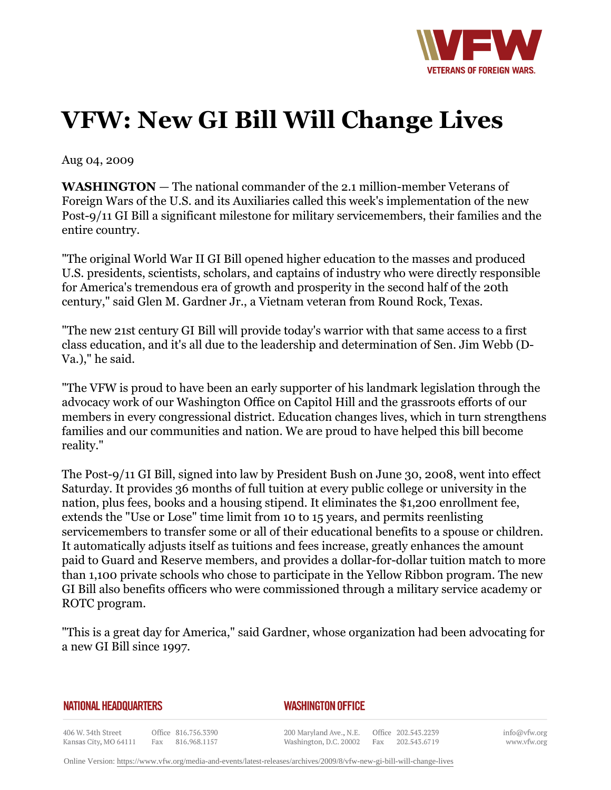

## **VFW: New GI Bill Will Change Lives**

Aug 04, 2009

**WASHINGTON** *—* The national commander of the 2.1 million-member Veterans of Foreign Wars of the U.S. and its Auxiliaries called this week's implementation of the new Post-9/11 GI Bill a significant milestone for military servicemembers, their families and the entire country.

"The original World War II GI Bill opened higher education to the masses and produced U.S. presidents, scientists, scholars, and captains of industry who were directly responsible for America's tremendous era of growth and prosperity in the second half of the 20th century," said Glen M. Gardner Jr., a Vietnam veteran from Round Rock, Texas.

"The new 21st century GI Bill will provide today's warrior with that same access to a first class education, and it's all due to the leadership and determination of Sen. Jim Webb (D-Va.)," he said.

"The VFW is proud to have been an early supporter of his landmark legislation through the advocacy work of our Washington Office on Capitol Hill and the grassroots efforts of our members in every congressional district. Education changes lives, which in turn strengthens families and our communities and nation. We are proud to have helped this bill become reality."

The Post-9/11 GI Bill, signed into law by President Bush on June 30, 2008, went into effect Saturday. It provides 36 months of full tuition at every public college or university in the nation, plus fees, books and a housing stipend. It eliminates the \$1,200 enrollment fee, extends the "Use or Lose" time limit from 10 to 15 years, and permits reenlisting servicemembers to transfer some or all of their educational benefits to a spouse or children. It automatically adjusts itself as tuitions and fees increase, greatly enhances the amount paid to Guard and Reserve members, and provides a dollar-for-dollar tuition match to more than 1,100 private schools who chose to participate in the Yellow Ribbon program. The new GI Bill also benefits officers who were commissioned through a military service academy or ROTC program.

"This is a great day for America," said Gardner, whose organization had been advocating for a new GI Bill since 1997.

## **NATIONAL HEADQUARTERS**

## *WASHINGTON OFFICE*

406 W. 34th Street Office 816.756.3390 Kansas City, MO 64111 Fax 816.968.1157

200 Maryland Ave., N.E. Washington, D.C. 20002

Office 202.543.2239 Fax 202.543.6719 info@vfw.org www.vfw.org

Online Version:<https://www.vfw.org/media-and-events/latest-releases/archives/2009/8/vfw-new-gi-bill-will-change-lives>